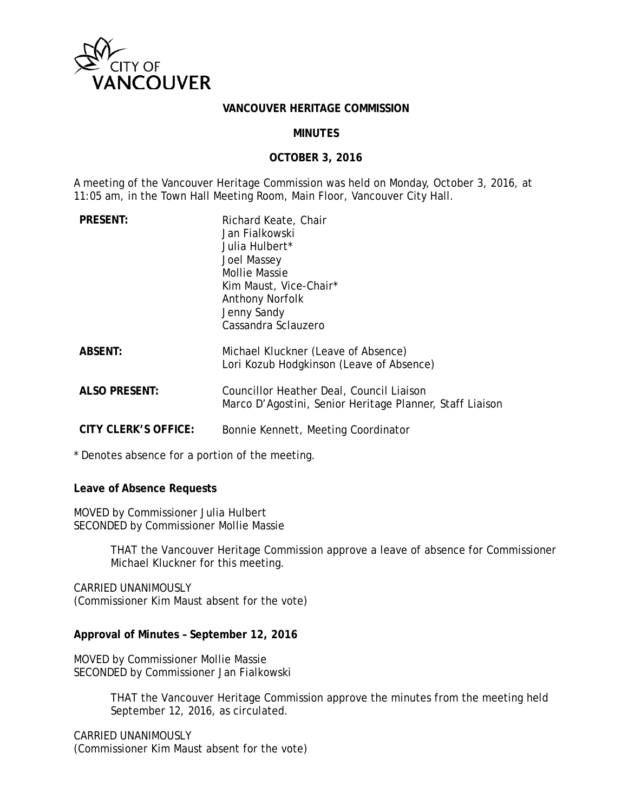

## **VANCOUVER HERITAGE COMMISSION**

#### **MINUTES**

#### **OCTOBER 3, 2016**

A meeting of the Vancouver Heritage Commission was held on Monday, October 3, 2016, at 11:05 am, in the Town Hall Meeting Room, Main Floor, Vancouver City Hall.

| <b>PRESENT:</b>      | Richard Keate, Chair<br>Jan Fialkowski<br>Julia Hulbert*<br><b>Joel Massey</b><br><b>Mollie Massie</b><br>Kim Maust, Vice-Chair*<br><b>Anthony Norfolk</b><br>Jenny Sandy<br>Cassandra Sclauzero |
|----------------------|--------------------------------------------------------------------------------------------------------------------------------------------------------------------------------------------------|
| <b>ABSENT:</b>       | Michael Kluckner (Leave of Absence)<br>Lori Kozub Hodgkinson (Leave of Absence)                                                                                                                  |
| <b>ALSO PRESENT:</b> | Councillor Heather Deal, Council Liaison<br>Marco D'Agostini, Senior Heritage Planner, Staff Liaison                                                                                             |
| CITY CLERK'S OFFICE: | Bonnie Kennett, Meeting Coordinator                                                                                                                                                              |

\* Denotes absence for a portion of the meeting.

**Leave of Absence Requests**

MOVED by Commissioner Julia Hulbert SECONDED by Commissioner Mollie Massie

> THAT the Vancouver Heritage Commission approve a leave of absence for Commissioner Michael Kluckner for this meeting.

CARRIED UNANIMOUSLY (Commissioner Kim Maust absent for the vote)

## **Approval of Minutes – September 12, 2016**

MOVED by Commissioner Mollie Massie SECONDED by Commissioner Jan Fialkowski

> THAT the Vancouver Heritage Commission approve the minutes from the meeting held September 12, 2016, as circulated.

CARRIED UNANIMOUSLY (Commissioner Kim Maust absent for the vote)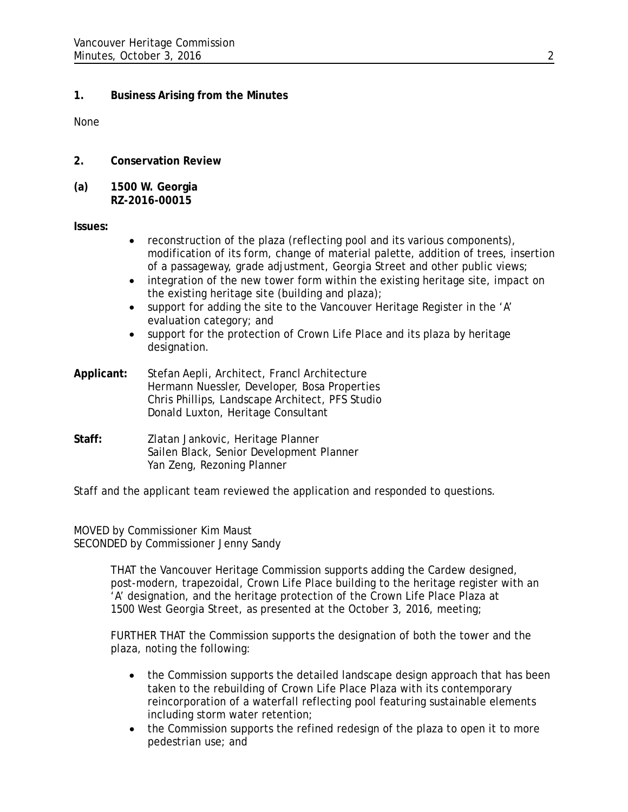# **1. Business Arising from the Minutes**

None

- **2. Conservation Review**
- **(a) 1500 W. Georgia RZ-2016-00015**

**Issues:**

- reconstruction of the plaza (reflecting pool and its various components), modification of its form, change of material palette, addition of trees, insertion of a passageway, grade adjustment, Georgia Street and other public views;
- integration of the new tower form within the existing heritage site, impact on the existing heritage site (building and plaza);
- support for adding the site to the Vancouver Heritage Register in the 'A' evaluation category; and
- support for the protection of Crown Life Place and its plaza by heritage designation.
- **Applicant:** Stefan Aepli, Architect, Francl Architecture Hermann Nuessler, Developer, Bosa Properties Chris Phillips, Landscape Architect, PFS Studio Donald Luxton, Heritage Consultant
- **Staff:** Zlatan Jankovic, Heritage Planner Sailen Black, Senior Development Planner Yan Zeng, Rezoning Planner

Staff and the applicant team reviewed the application and responded to questions.

MOVED by Commissioner Kim Maust SECONDED by Commissioner Jenny Sandy

> THAT the Vancouver Heritage Commission supports adding the Cardew designed, post-modern, trapezoidal, Crown Life Place building to the heritage register with an 'A' designation, and the heritage protection of the Crown Life Place Plaza at 1500 West Georgia Street, as presented at the October 3, 2016, meeting;

FURTHER THAT the Commission supports the designation of both the tower and the plaza, noting the following:

- the Commission supports the detailed landscape design approach that has been taken to the rebuilding of Crown Life Place Plaza with its contemporary reincorporation of a waterfall reflecting pool featuring sustainable elements including storm water retention;
- the Commission supports the refined redesign of the plaza to open it to more pedestrian use; and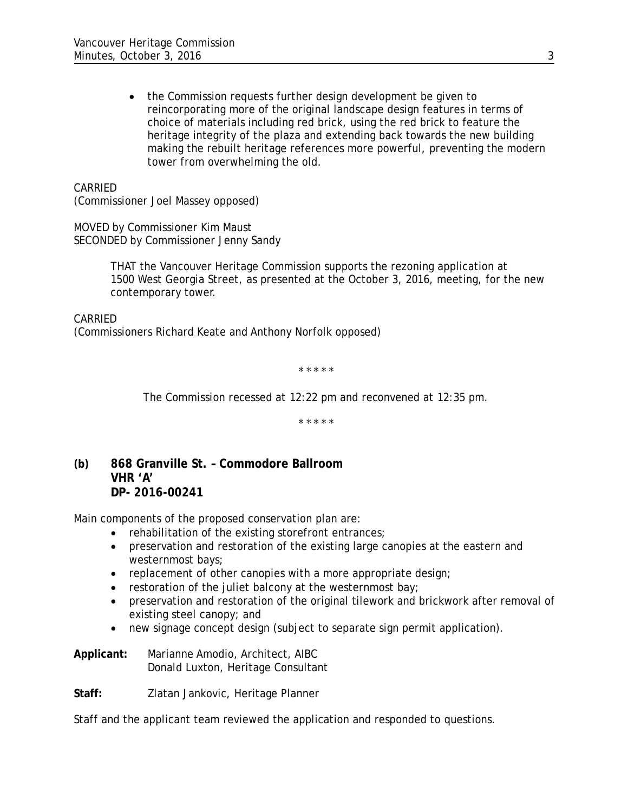• the Commission requests further design development be given to reincorporating more of the original landscape design features in terms of choice of materials including red brick, using the red brick to feature the heritage integrity of the plaza and extending back towards the new building making the rebuilt heritage references more powerful, preventing the modern tower from overwhelming the old.

CARRIED

(Commissioner Joel Massey opposed)

MOVED by Commissioner Kim Maust SECONDED by Commissioner Jenny Sandy

> THAT the Vancouver Heritage Commission supports the rezoning application at 1500 West Georgia Street, as presented at the October 3, 2016, meeting, for the new contemporary tower.

CARRIED (Commissioners Richard Keate and Anthony Norfolk opposed)

\* \* \* \* \*

*The Commission recessed at 12:22 pm and reconvened at 12:35 pm.*

*\* \* \* \* \**

**(b) 868 Granville St. – Commodore Ballroom VHR 'A' DP- 2016-00241**

Main components of the proposed conservation plan are:

- rehabilitation of the existing storefront entrances;
- preservation and restoration of the existing large canopies at the eastern and westernmost bays;
- replacement of other canopies with a more appropriate design;
- restoration of the juliet balcony at the westernmost bay;
- preservation and restoration of the original tilework and brickwork after removal of existing steel canopy; and
- new signage concept design (subject to separate sign permit application).

**Applicant:** Marianne Amodio, Architect, AIBC Donald Luxton, Heritage Consultant

**Staff:** Zlatan Jankovic, Heritage Planner

Staff and the applicant team reviewed the application and responded to questions.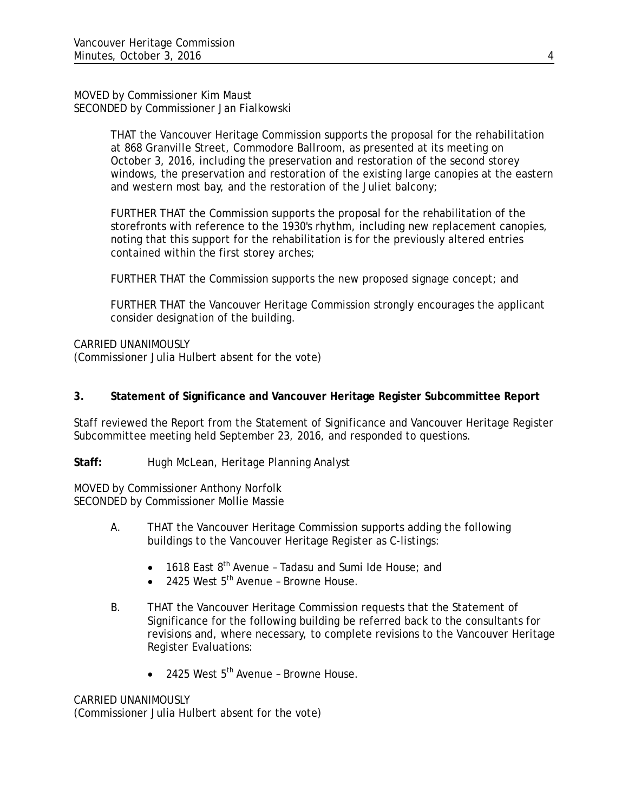## MOVED by Commissioner Kim Maust SECONDED by Commissioner Jan Fialkowski

THAT the Vancouver Heritage Commission supports the proposal for the rehabilitation at 868 Granville Street, Commodore Ballroom, as presented at its meeting on October 3, 2016, including the preservation and restoration of the second storey windows, the preservation and restoration of the existing large canopies at the eastern and western most bay, and the restoration of the Juliet balcony;

FURTHER THAT the Commission supports the proposal for the rehabilitation of the storefronts with reference to the 1930's rhythm, including new replacement canopies, noting that this support for the rehabilitation is for the previously altered entries contained within the first storey arches;

FURTHER THAT the Commission supports the new proposed signage concept; and

FURTHER THAT the Vancouver Heritage Commission strongly encourages the applicant consider designation of the building.

CARRIED UNANIMOUSLY

(Commissioner Julia Hulbert absent for the vote)

# **3. Statement of Significance and Vancouver Heritage Register Subcommittee Report**

Staff reviewed the Report from the Statement of Significance and Vancouver Heritage Register Subcommittee meeting held September 23, 2016, and responded to questions.

Staff: Hugh McLean, Heritage Planning Analyst

MOVED by Commissioner Anthony Norfolk SECONDED by Commissioner Mollie Massie

- A. THAT the Vancouver Heritage Commission supports adding the following buildings to the Vancouver Heritage Register as C-listings:
	- 1618 East  $8<sup>th</sup>$  Avenue Tadasu and Sumi Ide House; and
	- 2425 West 5<sup>th</sup> Avenue Browne House.
- B. THAT the Vancouver Heritage Commission requests that the Statement of Significance for the following building be referred back to the consultants for revisions and, where necessary, to complete revisions to the Vancouver Heritage Register Evaluations:
	- $\bullet$  2425 West  $5^{\text{th}}$  Avenue Browne House.

# CARRIED UNANIMOUSLY

(Commissioner Julia Hulbert absent for the vote)